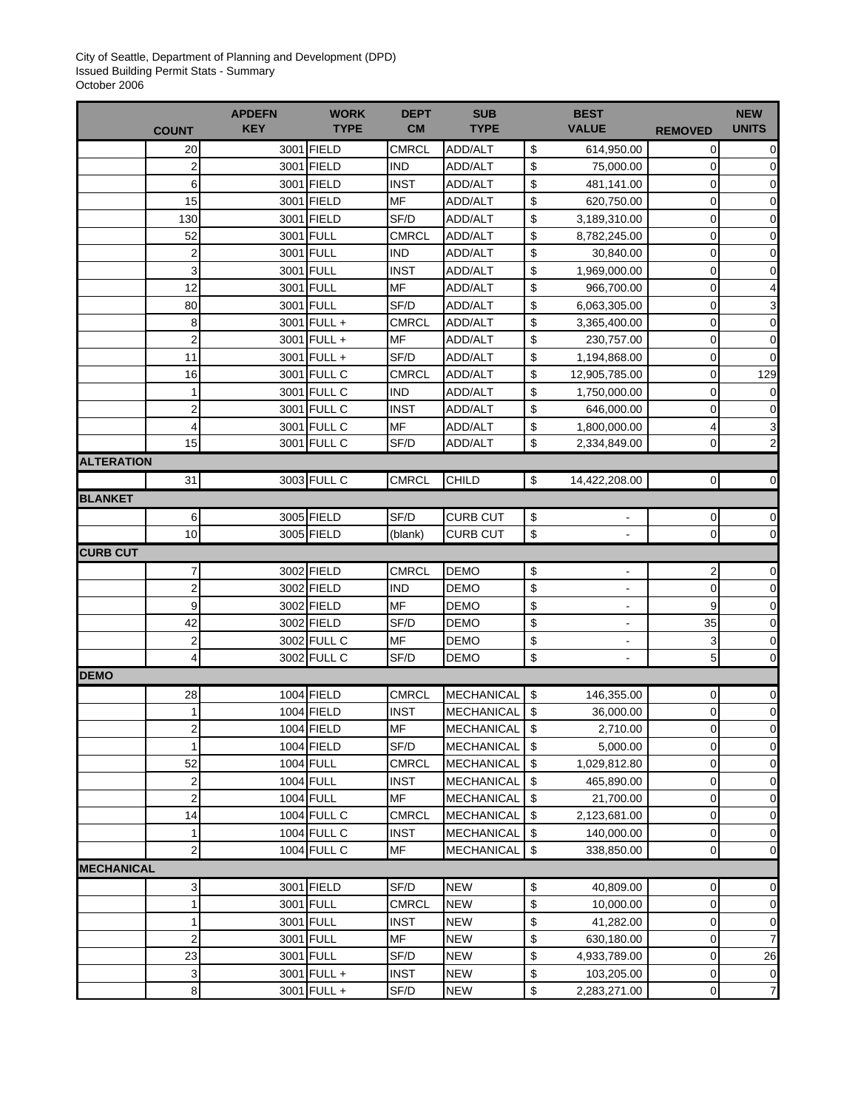City of Seattle, Department of Planning and Development (DPD) Issued Building Permit Stats - Summary October 2006

| <b>SUB</b><br><b>BEST</b><br><b>APDEFN</b><br><b>WORK</b><br><b>DEPT</b><br><b>TYPE</b><br><b>CM</b><br><b>TYPE</b><br><b>VALUE</b><br><b>KEY</b><br><b>COUNT</b> | <b>REMOVED</b>      | <b>NEW</b><br><b>UNITS</b> |
|-------------------------------------------------------------------------------------------------------------------------------------------------------------------|---------------------|----------------------------|
| 3001 FIELD<br><b>CMRCL</b><br>ADD/ALT<br>\$<br>20<br>614,950.00                                                                                                   | 0                   | 0                          |
| 3001 FIELD<br><b>IND</b><br>\$<br>$\overline{c}$<br>ADD/ALT<br>75,000.00                                                                                          | 0                   | 0                          |
| 3001 FIELD<br><b>INST</b><br>\$<br>6<br>ADD/ALT<br>481,141.00                                                                                                     | 0                   | $\mathbf 0$                |
| MF<br>3001 FIELD<br>\$<br>15<br>ADD/ALT<br>620,750.00                                                                                                             | 0                   | $\mathbf 0$                |
| \$<br>3001 FIELD<br>SF/D<br>130<br>ADD/ALT<br>3,189,310.00                                                                                                        | 0                   | $\pmb{0}$                  |
| \$<br>3001 FULL<br>CMRCL<br>52<br>ADD/ALT<br>8,782,245.00                                                                                                         | 0                   | 0                          |
| \$<br>$\overline{c}$<br>3001 FULL<br><b>IND</b><br>ADD/ALT<br>30,840.00                                                                                           | 0                   | 0                          |
| \$<br>3<br>3001 FULL<br><b>INST</b><br>1,969,000.00<br>ADD/ALT                                                                                                    | 0                   | $\mathbf 0$                |
| 12<br>3001 FULL<br>MF<br>\$<br>ADD/ALT<br>966,700.00                                                                                                              | 0                   |                            |
| 3001 FULL<br>\$<br>80<br>SF/D<br>ADD/ALT<br>6,063,305.00                                                                                                          | 0                   | 3                          |
| \$<br>3001 FULL +<br>8<br><b>CMRCL</b><br>ADD/ALT<br>3,365,400.00                                                                                                 | 0                   | $\mathbf 0$                |
| $\overline{\mathbf{c}}$<br>3001 FULL +<br>MF<br>\$<br>ADD/ALT<br>230,757.00                                                                                       | 0                   | $\mathbf 0$                |
| SF/D<br>\$<br>11<br>3001 FULL +<br>ADD/ALT<br>1,194,868.00                                                                                                        | 0                   | 0                          |
| \$<br>16<br>3001 FULL C<br><b>CMRCL</b><br>ADD/ALT<br>12,905,785.00                                                                                               | 0                   | 129                        |
| 3001 FULL C<br>\$<br>1<br><b>IND</b><br>ADD/ALT<br>1,750,000.00                                                                                                   | 0                   | 0                          |
| $\overline{\mathbf{c}}$<br>3001 FULL C<br>\$<br><b>INST</b><br>ADD/ALT<br>646,000.00                                                                              | 0                   | $\mathbf 0$                |
| \$<br>3001 FULL C<br>MF<br>4<br>ADD/ALT<br>1,800,000.00                                                                                                           | 4                   | 3                          |
| 15<br>3001 FULL C<br>SF/D<br>\$<br>ADD/ALT<br>2,334,849.00                                                                                                        | 0                   | $\overline{2}$             |
| <b>ALTERATION</b>                                                                                                                                                 |                     |                            |
| 3003 FULL C<br>CHILD<br>\$<br>31<br><b>CMRCL</b><br>14,422,208.00                                                                                                 | $\mathbf 0$         | 0                          |
| <b>BLANKET</b>                                                                                                                                                    |                     |                            |
| 3005 FIELD<br>SF/D<br>6<br><b>CURB CUT</b><br>\$                                                                                                                  | 0                   | 0                          |
| \$<br>10<br>3005 FIELD<br>(blank)<br>CURB CUT<br>$\blacksquare$                                                                                                   | 0                   | 0                          |
| <b>CURB CUT</b>                                                                                                                                                   |                     |                            |
| 3002 FIELD<br><b>CMRCL</b><br><b>DEMO</b><br>7<br>\$                                                                                                              | 2                   | 0                          |
| $\overline{\mathbf{c}}$<br>\$<br>3002 FIELD<br><b>IND</b><br><b>DEMO</b>                                                                                          | 0                   | $\pmb{0}$                  |
| <b>MF</b><br>\$<br>9<br>3002 FIELD<br><b>DEMO</b>                                                                                                                 | 9                   | 0                          |
| \$<br>42<br>3002 FIELD<br>SF/D<br><b>DEMO</b><br>$\blacksquare$                                                                                                   | 35                  | 0                          |
| $\overline{\mathbf{c}}$<br>3002 FULL C<br>MF<br>\$<br><b>DEMO</b><br>-                                                                                            | 3                   | 0                          |
| \$<br>4<br>3002 FULL C<br>SF/D<br><b>DEMO</b>                                                                                                                     | 5                   |                            |
| <b>DEMO</b>                                                                                                                                                       |                     |                            |
|                                                                                                                                                                   |                     | 0                          |
|                                                                                                                                                                   |                     |                            |
| 1004 FIELD<br>\$<br><b>CMRCL</b><br><b>MECHANICAL</b><br>28<br>146,355.00                                                                                         | 0                   | 0                          |
| 1004 FIELD<br><b>INST</b><br><b>MECHANICAL</b><br>\$<br>1<br>36,000.00<br>$\mathfrak{p}$                                                                          | 0<br>$\overline{0}$ | 0<br>$\Omega$              |
| 1004 FIELD<br><b>MF</b><br>\$<br><b>MECHANICAL</b><br>2,710.00                                                                                                    |                     |                            |
| 1004 FIELD<br>SF/D<br>\$<br><b>MECHANICAL</b><br>1<br>5,000.00                                                                                                    | 0                   | 0                          |
| 52<br>1004 FULL<br><b>CMRCL</b><br><b>MECHANICAL</b><br>\$<br>1,029,812.80                                                                                        | 0                   | 0                          |
| 1004 FULL<br><b>INST</b><br>\$<br>2<br><b>MECHANICAL</b><br>465,890.00                                                                                            | 0                   | $\pmb{0}$                  |
| $\overline{\mathbf{c}}$<br>1004 FULL<br><b>MF</b><br>\$<br><b>MECHANICAL</b><br>21,700.00                                                                         | 0                   | $\boldsymbol{0}$           |
| 1004 FULL C<br>CMRCL<br>\$<br>14<br><b>MECHANICAL</b><br>2,123,681.00                                                                                             | 0                   | 0                          |
| \$<br>1004 FULL C<br><b>INST</b><br><b>MECHANICAL</b><br>140,000.00<br>1                                                                                          | 0                   | $\pmb{0}$                  |
| $\overline{\mathbf{c}}$<br>\$<br>1004 FULL C<br><b>MF</b><br><b>MECHANICAL</b><br>338,850.00                                                                      | $\mathbf 0$         | 0                          |
| <b>MECHANICAL</b>                                                                                                                                                 |                     |                            |
| 3001 FIELD<br>3<br>SF/D<br><b>NEW</b><br>\$<br>40,809.00                                                                                                          | 0                   | 0                          |
| 3001 FULL<br>\$<br>CMRCL<br><b>NEW</b><br>10,000.00<br>1                                                                                                          | 0                   | 0                          |
| \$<br>3001 FULL<br><b>INST</b><br><b>NEW</b><br>1<br>41,282.00                                                                                                    | 0                   | $\pmb{0}$                  |
| $\overline{\mathbf{c}}$<br>MF<br>\$<br>3001 FULL<br><b>NEW</b><br>630,180.00                                                                                      | 0                   | 7                          |
| 23<br>3001 FULL<br>SF/D<br><b>NEW</b><br>\$<br>4,933,789.00<br><b>INST</b><br>\$<br>3<br>3001 FULL +<br><b>NEW</b><br>103,205.00                                  | 0<br>0              | 26<br>0                    |